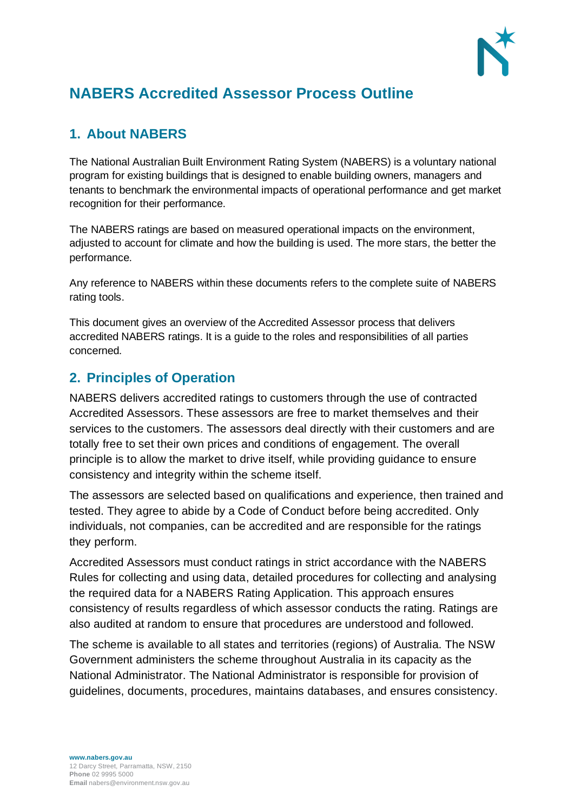

# **NABERS Accredited Assessor Process Outline**

# **1. About NABERS**

The National Australian Built Environment Rating System (NABERS) is a voluntary national program for existing buildings that is designed to enable building owners, managers and tenants to benchmark the environmental impacts of operational performance and get market recognition for their performance.

The NABERS ratings are based on measured operational impacts on the environment, adjusted to account for climate and how the building is used. The more stars, the better the performance.

Any reference to NABERS within these documents refers to the complete suite of NABERS rating tools.

This document gives an overview of the Accredited Assessor process that delivers accredited NABERS ratings. It is a guide to the roles and responsibilities of all parties concerned.

## **2. Principles of Operation**

NABERS delivers accredited ratings to customers through the use of contracted Accredited Assessors. These assessors are free to market themselves and their services to the customers. The assessors deal directly with their customers and are totally free to set their own prices and conditions of engagement. The overall principle is to allow the market to drive itself, while providing guidance to ensure consistency and integrity within the scheme itself.

The assessors are selected based on qualifications and experience, then trained and tested. They agree to abide by a Code of Conduct before being accredited. Only individuals, not companies, can be accredited and are responsible for the ratings they perform.

Accredited Assessors must conduct ratings in strict accordance with the NABERS Rules for collecting and using data, detailed procedures for collecting and analysing the required data for a NABERS Rating Application. This approach ensures consistency of results regardless of which assessor conducts the rating. Ratings are also audited at random to ensure that procedures are understood and followed.

The scheme is available to all states and territories (regions) of Australia. The NSW Government administers the scheme throughout Australia in its capacity as the National Administrator. The National Administrator is responsible for provision of guidelines, documents, procedures, maintains databases, and ensures consistency.